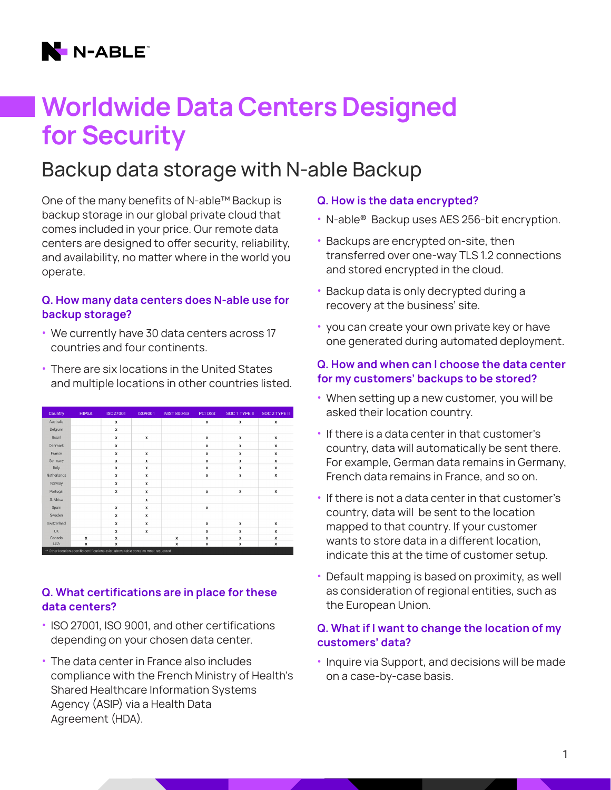

# Worldwide Data Centers Designed for Security

# Backup data storage with N-able Backup

One of the many benefits of N-able™ Backup is backup storage in our global private cloud that comes included in your price. Our remote data centers are designed to offer security, reliability, and availability, no matter where in the world you operate.

# Q. How many data centers does N-able use for backup storage?

- We currently have 30 data centers across 17 countries and four continents.
- There are six locations in the United States and multiple locations in other countries listed.

| Australia<br>x<br>x<br>Belgium<br>x<br>Brazil<br>x<br>x<br>x<br>Denmark<br>x<br>x<br>France<br>x<br>x<br>$\boldsymbol{\mathsf{x}}$<br>Germany<br>x<br>x<br>$\boldsymbol{\mathsf{x}}$<br>Italy<br>x<br>x<br>x<br>Netherlands<br>x<br>x<br>x<br>Norway<br>x<br>x<br>Portugal<br>x<br>x<br>X<br>S. Africa<br>x | $\pmb{\chi}$<br>X<br>x<br>x | x<br>x<br>x |
|-------------------------------------------------------------------------------------------------------------------------------------------------------------------------------------------------------------------------------------------------------------------------------------------------------------|-----------------------------|-------------|
|                                                                                                                                                                                                                                                                                                             |                             |             |
|                                                                                                                                                                                                                                                                                                             |                             |             |
|                                                                                                                                                                                                                                                                                                             |                             |             |
|                                                                                                                                                                                                                                                                                                             |                             |             |
|                                                                                                                                                                                                                                                                                                             |                             | x           |
|                                                                                                                                                                                                                                                                                                             | x                           | x           |
|                                                                                                                                                                                                                                                                                                             | $\mathbf x$                 | x           |
|                                                                                                                                                                                                                                                                                                             | x                           | x           |
|                                                                                                                                                                                                                                                                                                             |                             |             |
|                                                                                                                                                                                                                                                                                                             | $\mathbf x$                 | x           |
|                                                                                                                                                                                                                                                                                                             |                             |             |
| Spain<br>x<br>x<br>x                                                                                                                                                                                                                                                                                        |                             |             |
| Sweden<br>x<br>x                                                                                                                                                                                                                                                                                            |                             |             |
| Switzerland<br>x<br>x<br>x                                                                                                                                                                                                                                                                                  | x                           | x           |
| <b>UK</b><br>x<br>x<br>x                                                                                                                                                                                                                                                                                    | $\mathbf x$                 | x           |
| Canada<br>x<br>x<br>x<br>X                                                                                                                                                                                                                                                                                  | x                           | x           |
| <b>USA</b><br>x<br>x<br>x<br>$\boldsymbol{\mathsf{x}}$                                                                                                                                                                                                                                                      | $\boldsymbol{\mathsf{x}}$   | x           |

# Q. What certifications are in place for these data centers?

- ISO 27001, ISO 9001, and other certifications depending on your chosen data center.
- The data center in France also includes compliance with the French Ministry of Health's Shared Healthcare Information Systems Agency (ASIP) via a Health Data Agreement (HDA).

# Q. How is the data encrypted?

- N-able® Backup uses AES 256-bit encryption.
- Backups are encrypted on-site, then transferred over one-way TLS 1.2 connections and stored encrypted in the cloud.
- Backup data is only decrypted during a recovery at the business' site.
- you can create your own private key or have one generated during automated deployment.

# Q. How and when can I choose the data center for my customers' backups to be stored?

- When setting up a new customer, you will be asked their location country.
- If there is a data center in that customer's country, data will automatically be sent there. For example, German data remains in Germany, French data remains in France, and so on.
- If there is not a data center in that customer's country, data will be sent to the location mapped to that country. If your customer wants to store data in a different location, indicate this at the time of customer setup.
- Default mapping is based on proximity, as well as consideration of regional entities, such as the European Union.

# Q. What if I want to change the location of my customers' data?

• Inquire via Support, and decisions will be made on a case-by-case basis.